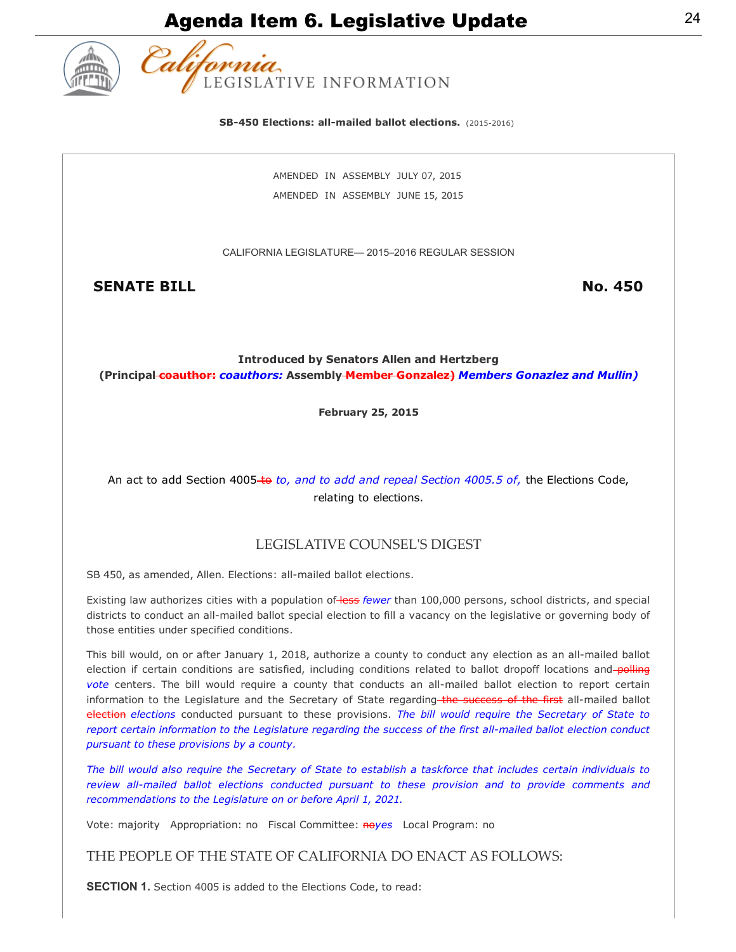

**SB-450 Elections: all-mailed ballot elections.** (2015-2016)

AMENDED IN ASSEMBLY JULY 07, 2015 AMENDED IN ASSEMBLY JUNE 15, 2015

CALIFORNIA LEGISLATURE— 2015–2016 REGULAR SESSION

SENATE BILL No. 450

Introduced by Senators Allen and Hertzberg (Principal coauthor: *coauthors:* Assembly Member Gonzalez) *Members Gonazlez and Mullin)*

February 25, 2015

An act to add Section 4005-to to, and to add and repeal Section 4005.5 of, the Elections Code, relating to elections.

### LEGISLATIVE COUNSELʹS DIGEST

SB 450, as amended, Allen. Elections: all-mailed ballot elections.

Existing law authorizes cities with a population of less *fewer* than 100,000 persons, school districts, and special districts to conduct an all-mailed ballot special election to fill a vacancy on the legislative or governing body of those entities under specified conditions.

This bill would, on or after January 1, 2018, authorize a county to conduct any election as an all-mailed ballot election if certain conditions are satisfied, including conditions related to ballot dropoff locations and polling *vote* centers. The bill would require a county that conducts an all-mailed ballot election to report certain information to the Legislature and the Secretary of State regarding the success of the first all-mailed ballot election *elections* conducted pursuant to these provisions. *The bill would require the Secretary of State to report certain information to the Legislature regarding the success of the first all-mailed ballot election conduct pursuant to these provisions by a county.*

*The bill would also require the Secretary of State to establish a taskforce that includes certain individuals to* review all-mailed ballot elections conducted pursuant to these provision and to provide comments and *recommendations to the Legislature on or before April 1, 2021.*

Vote: majority Appropriation: no Fiscal Committee: noyes Local Program: no

THE PEOPLE OF THE STATE OF CALIFORNIA DO ENACT AS FOLLOWS:

SECTION 1. Section 4005 is added to the Elections Code, to read: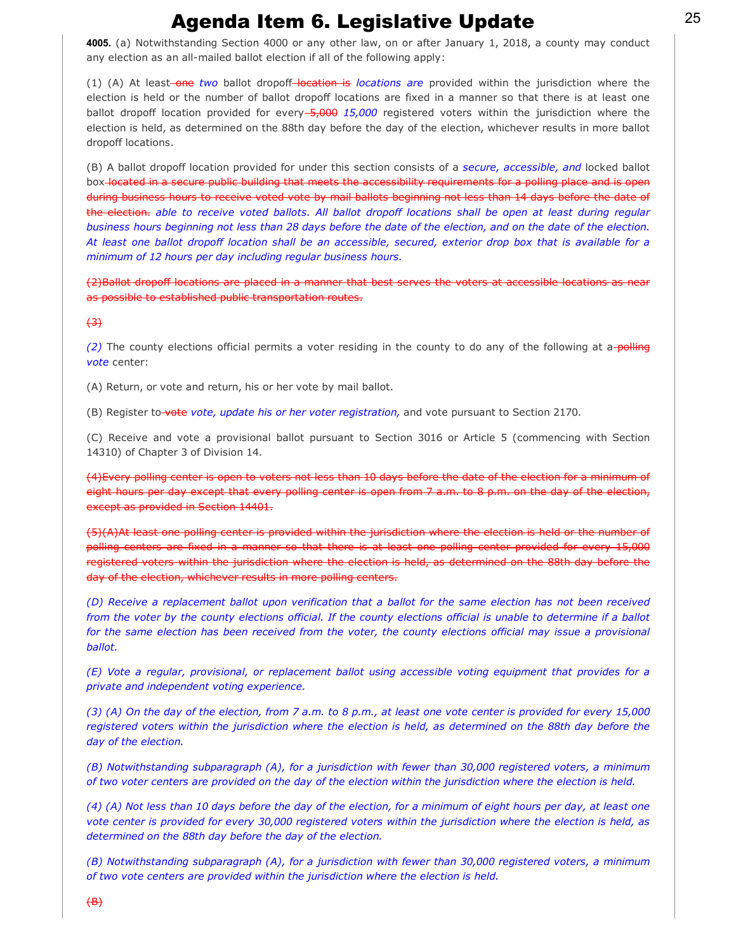4005. (a) Notwithstanding Section 4000 or any other law, on or after January 1, 2018, a county may conduct any election as an all-mailed ballot election if all of the following apply:

(1) (A) At least-one two ballot dropoff-location is locations are provided within the jurisdiction where the election is held or the number of ballot dropoff locations are fixed in a manner so that there is at least one ballot dropoff location provided for every 5,000 15,000 registered voters within the jurisdiction where the election is held, as determined on the 88th day before the day of the election, whichever results in more ballot dropoff locations.

(B) A ballot dropoff location provided for under this section consists of a *secure, accessible, and* locked ballot box located in a secure public building that meets the accessibility requirements for a polling place and is open during business hours to receive voted vote by mail ballots beginning not less than 14 days before the date of the election. *able to receive voted ballots. All ballot dropoff locations shall be open at least during regular business hours beginning not less than 28 days before the date of the election, and on the date of the election. At least one ballot dropoff location shall be an accessible, secured, exterior drop box that is available for a minimum of 12 hours per day including regular business hours.*

(2)Ballot dropoff locations are placed in a manner that best serves the voters at accessible locations as near as possible to established public transportation routes.

#### $<sup>43</sup>$ </sup>

*(2)* The county elections official permits a voter residing in the county to do any of the following at a polling *vote* center:

(A) Return, or vote and return, his or her vote by mail ballot.

(B) Register to vote vote, update his or her voter registration, and vote pursuant to Section 2170.

(C) Receive and vote a provisional ballot pursuant to Section 3016 or Article 5 (commencing with Section 14310) of Chapter 3 of Division 14.

(4)Every polling center is open to voters not less than 10 days before the date of the election for a minimum of eight hours per day except that every polling center is open from 7 a.m. to 8 p.m. on the day of the election, except as provided in Section 14401.

(5)(A)At least one polling center is provided within the jurisdiction where the election is held or the number of polling centers are fixed in a manner so that there is at least one polling center provided for every 15,000 registered voters within the jurisdiction where the election is held, as determined on the 88th day before the day of the election, whichever results in more polling centers.

*(D) Receive a replacement ballot upon verification that a ballot for the same election has not been received from the voter by the county elections official. If the county elections official is unable to determine if a ballot for the same election has been received from the voter, the county elections official may issue a provisional ballot.*

*(E) Vote a regular, provisional, or replacement ballot using accessible voting equipment that provides for a private and independent voting experience.*

*(3) (A) On the day of the election, from 7 a.m. to 8 p.m., at least one vote center is provided for every 15,000 registered voters within the jurisdiction where the election is held, as determined on the 88th day before the day of the election.*

*(B) Notwithstanding subparagraph (A), for a jurisdiction with fewer than 30,000 registered voters, a minimum of two voter centers are provided on the day of the election within the jurisdiction where the election is held.*

*(4) (A) Not less than 10 days before the day of the election, for a minimum of eight hours per day, at least one vote center is provided for every 30,000 registered voters within the jurisdiction where the election is held, as determined on the 88th day before the day of the election.*

*(B) Notwithstanding subparagraph (A), for a jurisdiction with fewer than 30,000 registered voters, a minimum of two vote centers are provided within the jurisdiction where the election is held.*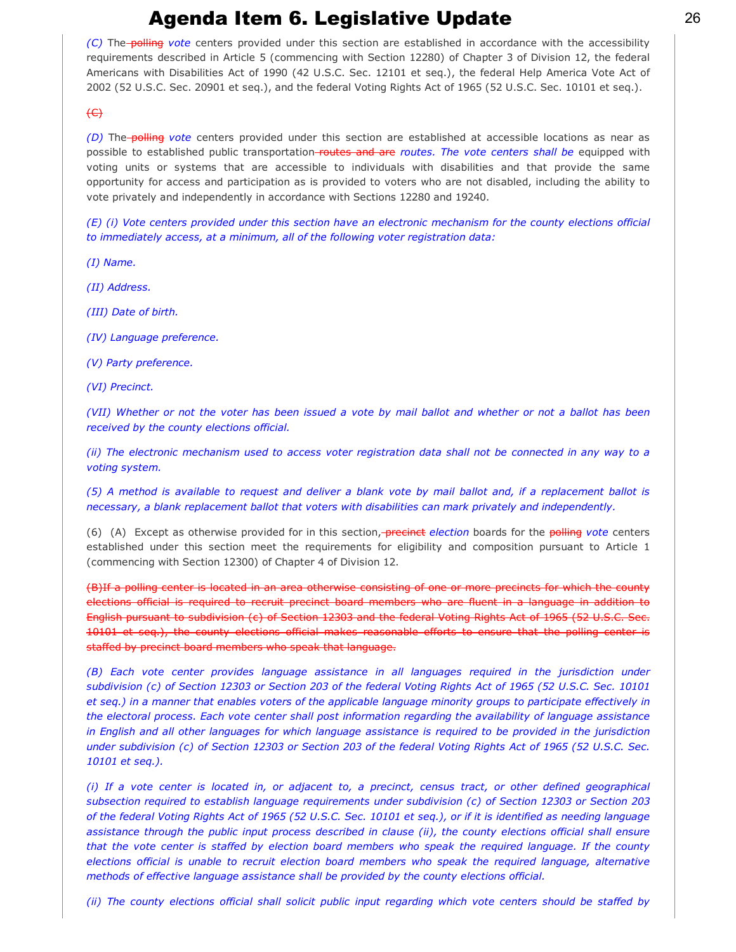*(C)* The **polling** vote centers provided under this section are established in accordance with the accessibility requirements described in Article 5 (commencing with Section 12280) of Chapter 3 of Division 12, the federal Americans with Disabilities Act of 1990 (42 U.S.C. Sec. 12101 et seq.), the federal Help America Vote Act of 2002 (52 U.S.C. Sec. 20901 et seq.), and the federal Voting Rights Act of 1965 (52 U.S.C. Sec. 10101 et seq.).

### $\leftrightarrow$

*(D)* The **polling** vote centers provided under this section are established at accessible locations as near as possible to established public transportation-routes and are routes. The vote centers shall be equipped with voting units or systems that are accessible to individuals with disabilities and that provide the same opportunity for access and participation as is provided to voters who are not disabled, including the ability to vote privately and independently in accordance with Sections 12280 and 19240.

*(E) (i) Vote centers provided under this section have an electronic mechanism for the county elections official to immediately access, at a minimum, all of the following voter registration data:*

*(I) Name.*

*(II) Address.*

*(III) Date of birth.*

*(IV) Language preference.*

*(V) Party preference.*

*(VI) Precinct.*

*(VII) Whether or not the voter has been issued a vote by mail ballot and whether or not a ballot has been received by the county elections official.*

*(ii) The electronic mechanism used to access voter registration data shall not be connected in any way to a voting system.*

*(5) A method is available to request and deliver a blank vote by mail ballot and, if a replacement ballot is necessary, a blank replacement ballot that voters with disabilities can mark privately and independently.*

(6) (A) Except as otherwise provided for in this section, precinct *election* boards for the polling *vote* centers established under this section meet the requirements for eligibility and composition pursuant to Article 1 (commencing with Section 12300) of Chapter 4 of Division 12.

(B)If a polling center is located in an area otherwise consisting of one or more precincts for which the county elections official is required to recruit precinct board members who are fluent in a language in addition to English pursuant to subdivision (c) of Section 12303 and the federal Voting Rights Act of 1965 (52 U.S.C. Sec. 10101 et seq.), the county elections official makes reasonable efforts to ensure that the polling center is staffed by precinct board members who speak that language.

*(B) Each vote center provides language assistance in all languages required in the jurisdiction under subdivision (c) of Section 12303 or Section 203 of the federal Voting Rights Act of 1965 (52 U.S.C. Sec. 10101 et seq.) in a manner that enables voters of the applicable language minority groups to participate effectively in the electoral process. Each vote center shall post information regarding the availability of language assistance in English and all other languages for which language assistance is required to be provided in the jurisdiction under subdivision (c) of Section 12303 or Section 203 of the federal Voting Rights Act of 1965 (52 U.S.C. Sec. 10101 et seq.).*

*(i) If a vote center is located in, or adjacent to, a precinct, census tract, or other defined geographical subsection required to establish language requirements under subdivision (c) of Section 12303 or Section 203 of the federal Voting Rights Act of 1965 (52 U.S.C. Sec. 10101 et seq.), or if it is identified as needing language assistance through the public input process described in clause (ii), the county elections official shall ensure that the vote center is staffed by election board members who speak the required language. If the county elections official is unable to recruit election board members who speak the required language, alternative methods of effective language assistance shall be provided by the county elections official.*

*(ii) The county elections official shall solicit public input regarding which vote centers should be staffed by*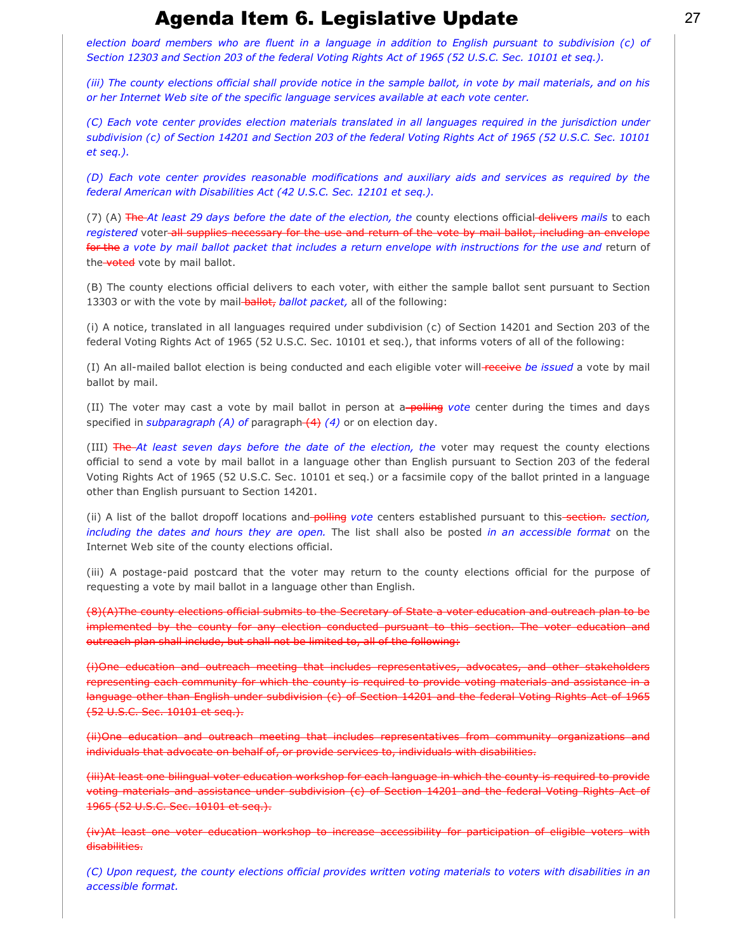*election board members who are fluent in a language in addition to English pursuant to subdivision (c) of Section 12303 and Section 203 of the federal Voting Rights Act of 1965 (52 U.S.C. Sec. 10101 et seq.).*

*(iii) The county elections official shall provide notice in the sample ballot, in vote by mail materials, and on his or her Internet Web site of the specific language services available at each vote center.*

*(C) Each vote center provides election materials translated in all languages required in the jurisdiction under subdivision (c) of Section 14201 and Section 203 of the federal Voting Rights Act of 1965 (52 U.S.C. Sec. 10101 et seq.).*

*(D) Each vote center provides reasonable modifications and auxiliary aids and services as required by the federal American with Disabilities Act (42 U.S.C. Sec. 12101 et seq.).*

(7) (A) The *At least 29 days before the date of the election, the county elections official delivers mails* to each *registered* voter all supplies necessary for the use and return of the vote by mail ballot, including an envelope for the *a vote by mail ballot packet that includes a return envelope with instructions for the use and* return of the voted vote by mail ballot.

(B) The county elections official delivers to each voter, with either the sample ballot sent pursuant to Section 13303 or with the vote by mail-**ballot**, ballot packet, all of the following:

(i) A notice, translated in all languages required under subdivision (c) of Section 14201 and Section 203 of the federal Voting Rights Act of 1965 (52 U.S.C. Sec. 10101 et seq.), that informs voters of all of the following:

(I) An all-mailed ballot election is being conducted and each eligible voter will receive be issued a vote by mail ballot by mail.

(II) The voter may cast a vote by mail ballot in person at a-polling vote center during the times and days specified in *subparagraph (A) of* paragraph (4) *(4)* or on election day.

(III) The *At least seven days before the date of the election, the*  voter may request the county elections official to send a vote by mail ballot in a language other than English pursuant to Section 203 of the federal Voting Rights Act of 1965 (52 U.S.C. Sec. 10101 et seq.) or a facsimile copy of the ballot printed in a language other than English pursuant to Section 14201.

(ii) A list of the ballot dropoff locations and-polling vote centers established pursuant to this-section, section, *including the dates and hours they are open.* The list shall also be posted *in an accessible format* on the Internet Web site of the county elections official.

(iii) A postage-paid postcard that the voter may return to the county elections official for the purpose of requesting a vote by mail ballot in a language other than English.

(8)(A)The county elections official submits to the Secretary of State a voter education and outreach plan to be implemented by the county for any election conducted pursuant to this section. The voter education and outreach plan shall include, but shall not be limited to, all of the following:

(i)One education and outreach meeting that includes representatives, advocates, and other stakeholders representing each community for which the county is required to provide voting materials and assistance in a language other than English under subdivision (c) of Section 14201 and the federal Voting Rights Act of 1965 (52 U.S.C. Sec. 10101 et seq.).

(ii)One education and outreach meeting that includes representatives from community organizations and individuals that advocate on behalf of, or provide services to, individuals with disabilities.

(iii)At least one bilingual voter education workshop for each language in which the county is required to provide voting materials and assistance under subdivision (c) of Section 14201 and the federal Voting Rights Act of 1965 (52 U.S.C. Sec. 10101 et seq.).

(iv)At least one voter education workshop to increase accessibility for participation of eligible voters with disabilities.

*(C) Upon request, the county elections official provides written voting materials to voters with disabilities in an accessible format.*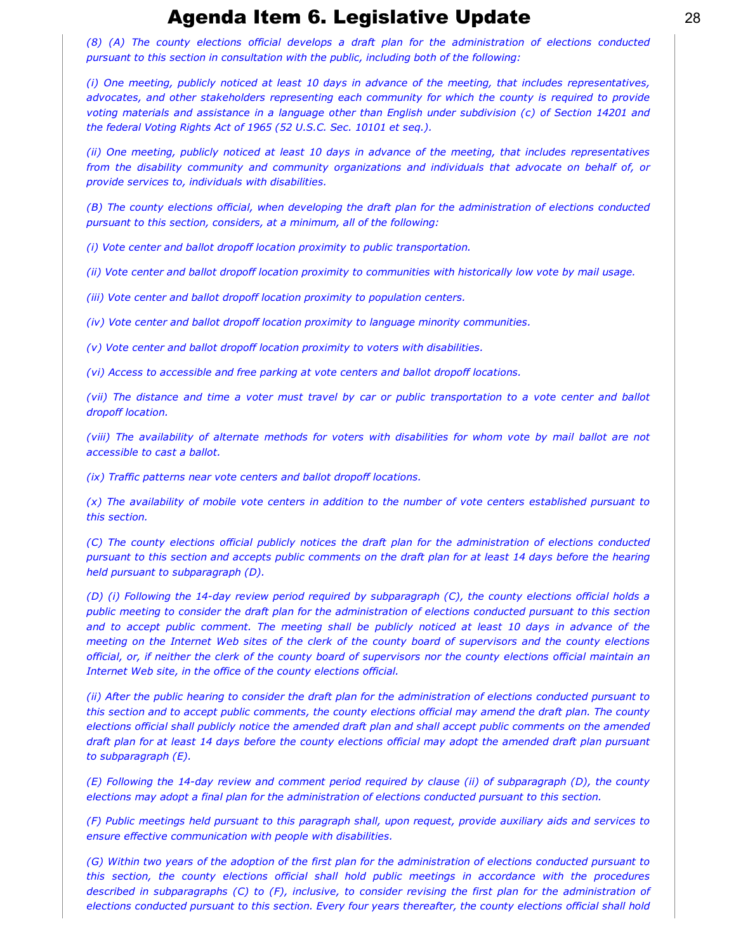*(8) (A) The county elections official develops a draft plan for the administration of elections conducted pursuant to this section in consultation with the public, including both of the following:*

*(i) One meeting, publicly noticed at least 10 days in advance of the meeting, that includes representatives, advocates, and other stakeholders representing each community for which the county is required to provide voting materials and assistance in a language other than English under subdivision (c) of Section 14201 and the federal Voting Rights Act of 1965 (52 U.S.C. Sec. 10101 et seq.).*

*(ii) One meeting, publicly noticed at least 10 days in advance of the meeting, that includes representatives from the disability community and community organizations and individuals that advocate on behalf of, or provide services to, individuals with disabilities.*

*(B) The county elections official, when developing the draft plan for the administration of elections conducted pursuant to this section, considers, at a minimum, all of the following:*

*(i) Vote center and ballot dropoff location proximity to public transportation.*

*(ii) Vote center and ballot dropoff location proximity to communities with historically low vote by mail usage.*

*(iii) Vote center and ballot dropoff location proximity to population centers.*

*(iv) Vote center and ballot dropoff location proximity to language minority communities.*

*(v) Vote center and ballot dropoff location proximity to voters with disabilities.*

*(vi) Access to accessible and free parking at vote centers and ballot dropoff locations.*

*(vii) The distance and time a voter must travel by car or public transportation to a vote center and ballot dropoff location.*

*(viii) The availability of alternate methods for voters with disabilities for whom vote by mail ballot are not accessible to cast a ballot.*

*(ix) Traffic patterns near vote centers and ballot dropoff locations.*

*(x) The availability of mobile vote centers in addition to the number of vote centers established pursuant to this section.*

*(C) The county elections official publicly notices the draft plan for the administration of elections conducted pursuant to this section and accepts public comments on the draft plan for at least 14 days before the hearing held pursuant to subparagraph (D).*

*(D) (i) Following the 14day review period required by subparagraph (C), the county elections official holds a public meeting to consider the draft plan for the administration of elections conducted pursuant to this section and to accept public comment. The meeting shall be publicly noticed at least 10 days in advance of the meeting on the Internet Web sites of the clerk of the county board of supervisors and the county elections official, or, if neither the clerk of the county board of supervisors nor the county elections official maintain an Internet Web site, in the office of the county elections official.*

*(ii) After the public hearing to consider the draft plan for the administration of elections conducted pursuant to this section and to accept public comments, the county elections official may amend the draft plan. The county elections official shall publicly notice the amended draft plan and shall accept public comments on the amended draft plan for at least 14 days before the county elections official may adopt the amended draft plan pursuant to subparagraph (E).*

*(E) Following the 14-day review and comment period required by clause (ii) of subparagraph (D), the county elections may adopt a final plan for the administration of elections conducted pursuant to this section.*

*(F) Public meetings held pursuant to this paragraph shall, upon request, provide auxiliary aids and services to ensure effective communication with people with disabilities.*

*(G) Within two years of the adoption of the first plan for the administration of elections conducted pursuant to this section, the county elections official shall hold public meetings in accordance with the procedures described in subparagraphs (C) to (F), inclusive, to consider revising the first plan for the administration of elections conducted pursuant to this section. Every four years thereafter, the county elections official shall hold*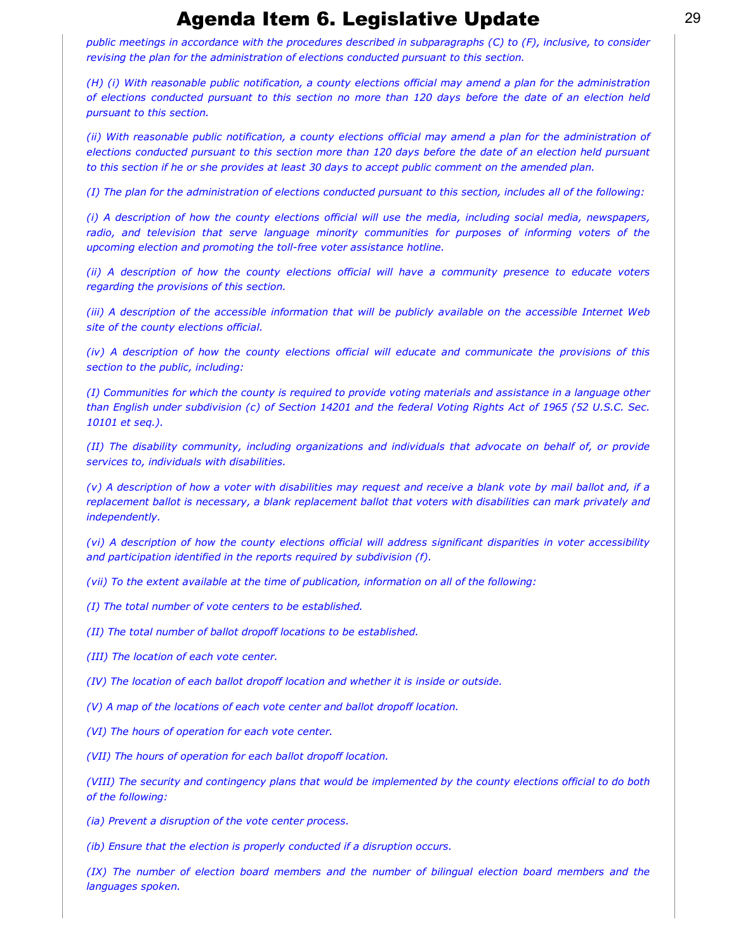*public meetings in accordance with the procedures described in subparagraphs (C) to (F), inclusive, to consider revising the plan for the administration of elections conducted pursuant to this section.*

*(H) (i) With reasonable public notification, a county elections official may amend a plan for the administration of elections conducted pursuant to this section no more than 120 days before the date of an election held pursuant to this section.*

*(ii) With reasonable public notification, a county elections official may amend a plan for the administration of elections conducted pursuant to this section more than 120 days before the date of an election held pursuant to this section if he or she provides at least 30 days to accept public comment on the amended plan.*

*(I) The plan for the administration of elections conducted pursuant to this section, includes all of the following:*

*(i) A description of how the county elections official will use the media, including social media, newspapers, radio, and television that serve language minority communities for purposes of informing voters of the* upcoming election and promoting the toll-free voter assistance hotline.

*(ii) A description of how the county elections official will have a community presence to educate voters regarding the provisions of this section.*

*(iii) A description of the accessible information that will be publicly available on the accessible Internet Web site of the county elections official.*

*(iv) A description of how the county elections official will educate and communicate the provisions of this section to the public, including:*

*(I) Communities for which the county is required to provide voting materials and assistance in a language other than English under subdivision (c) of Section 14201 and the federal Voting Rights Act of 1965 (52 U.S.C. Sec. 10101 et seq.).*

*(II) The disability community, including organizations and individuals that advocate on behalf of, or provide services to, individuals with disabilities.*

*(v) A description of how a voter with disabilities may request and receive a blank vote by mail ballot and, if a replacement ballot is necessary, a blank replacement ballot that voters with disabilities can mark privately and independently.*

*(vi) A description of how the county elections official will address significant disparities in voter accessibility and participation identified in the reports required by subdivision (f).*

*(vii) To the extent available at the time of publication, information on all of the following:*

*(I) The total number of vote centers to be established.*

*(II) The total number of ballot dropoff locations to be established.*

*(III) The location of each vote center.*

*(IV) The location of each ballot dropoff location and whether it is inside or outside.*

*(V) A map of the locations of each vote center and ballot dropoff location.*

*(VI) The hours of operation for each vote center.*

*(VII) The hours of operation for each ballot dropoff location.*

*(VIII) The security and contingency plans that would be implemented by the county elections official to do both of the following:*

*(ia) Prevent a disruption of the vote center process.*

*(ib) Ensure that the election is properly conducted if a disruption occurs.*

*(IX) The number of election board members and the number of bilingual election board members and the languages spoken.*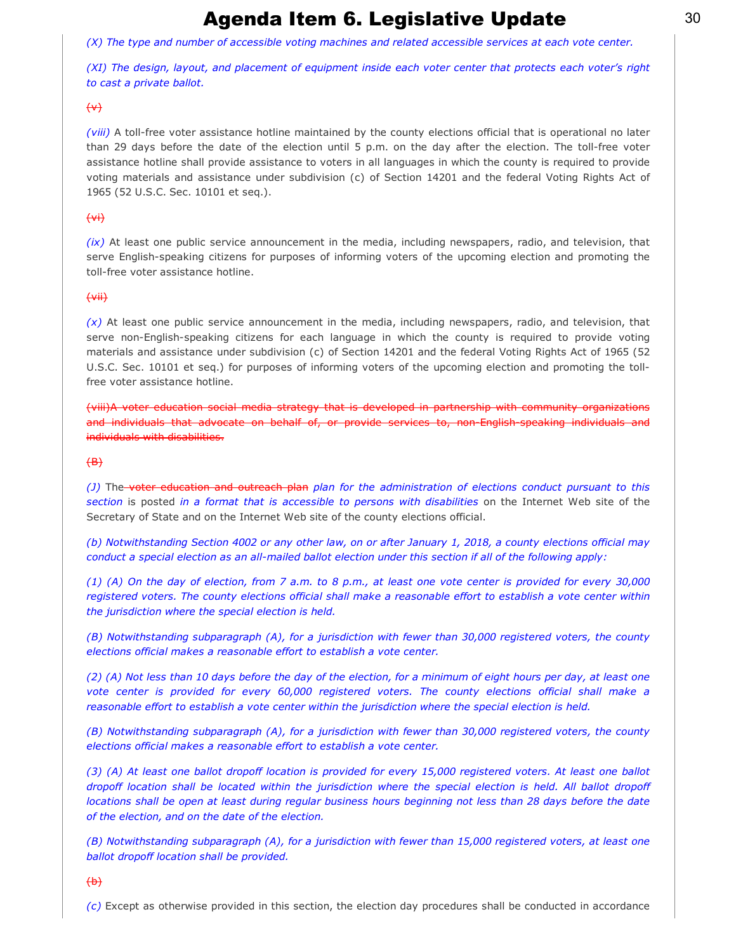*(X) The type and number of accessible voting machines and related accessible services at each vote center.*

*(XI) The design, layout, and placement of equipment inside each voter center that protects each voter's right to cast a private ballot.*

### $\leftrightarrow$

*(viii)* A toll-free voter assistance hotline maintained by the county elections official that is operational no later than 29 days before the date of the election until 5 p.m. on the day after the election. The toll-free voter assistance hotline shall provide assistance to voters in all languages in which the county is required to provide voting materials and assistance under subdivision (c) of Section 14201 and the federal Voting Rights Act of 1965 (52 U.S.C. Sec. 10101 et seq.).

### $\leftrightarrow$

*(ix)* At least one public service announcement in the media, including newspapers, radio, and television, that serve English-speaking citizens for purposes of informing voters of the upcoming election and promoting the toll-free voter assistance hotline.

### (vii)

*(x)* At least one public service announcement in the media, including newspapers, radio, and television, that serve non-English-speaking citizens for each language in which the county is required to provide voting materials and assistance under subdivision (c) of Section 14201 and the federal Voting Rights Act of 1965 (52 U.S.C. Sec. 10101 et seq.) for purposes of informing voters of the upcoming election and promoting the tollfree voter assistance hotline.

(viii)A voter education social media strategy that is developed in partnership with community organizations and individuals that advocate on behalf of, or provide services to, non English speaking individuals and individuals with disabilities.

### $\left(\text{B}\right)$

*(J)* The voter education and outreach plan *plan for the administration of elections conduct pursuant to this section* is posted *in a format that is accessible to persons with disabilities* on the Internet Web site of the Secretary of State and on the Internet Web site of the county elections official.

*(b) Notwithstanding Section 4002 or any other law, on or after January 1, 2018, a county elections official may conduct a special election as an all-mailed ballot election under this section if all of the following apply:* 

*(1) (A) On the day of election, from 7 a.m. to 8 p.m., at least one vote center is provided for every 30,000 registered voters. The county elections official shall make a reasonable effort to establish a vote center within the jurisdiction where the special election is held.*

*(B) Notwithstanding subparagraph (A), for a jurisdiction with fewer than 30,000 registered voters, the county elections official makes a reasonable effort to establish a vote center.*

*(2) (A) Not less than 10 days before the day of the election, for a minimum of eight hours per day, at least one vote center is provided for every 60,000 registered voters. The county elections official shall make a reasonable effort to establish a vote center within the jurisdiction where the special election is held.*

*(B) Notwithstanding subparagraph (A), for a jurisdiction with fewer than 30,000 registered voters, the county elections official makes a reasonable effort to establish a vote center.*

*(3) (A) At least one ballot dropoff location is provided for every 15,000 registered voters. At least one ballot dropoff location shall be located within the jurisdiction where the special election is held. All ballot dropoff locations shall be open at least during regular business hours beginning not less than 28 days before the date of the election, and on the date of the election.*

*(B) Notwithstanding subparagraph (A), for a jurisdiction with fewer than 15,000 registered voters, at least one ballot dropoff location shall be provided.*

#### $\leftrightarrow$

*(c)* Except as otherwise provided in this section, the election day procedures shall be conducted in accordance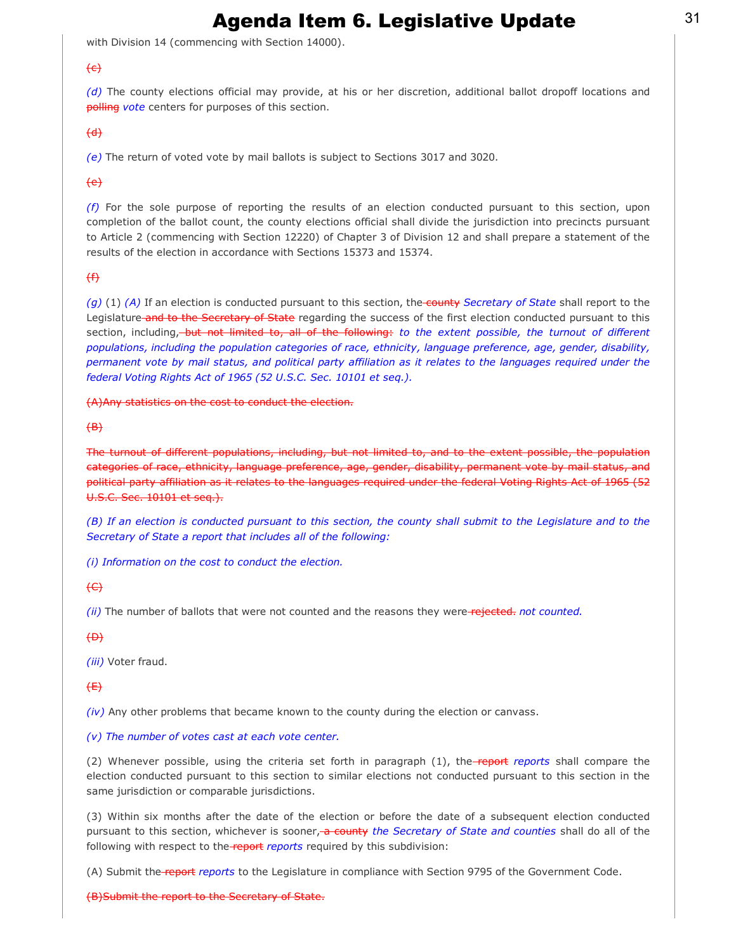with Division 14 (commencing with Section 14000).

### $\left(\text{e}\right)$

*(d)* The county elections official may provide, at his or her discretion, additional ballot dropoff locations and polling *vote* centers for purposes of this section.

#### $\left(\text{d}\right)$

*(e)* The return of voted vote by mail ballots is subject to Sections 3017 and 3020.

### $\left\{ e\right\}$

*(f)* For the sole purpose of reporting the results of an election conducted pursuant to this section, upon completion of the ballot count, the county elections official shall divide the jurisdiction into precincts pursuant to Article 2 (commencing with Section 12220) of Chapter 3 of Division 12 and shall prepare a statement of the results of the election in accordance with Sections 15373 and 15374.

### $<sup>4</sup>$ </sup>

*(g)* (1) *(A)* If an election is conducted pursuant to this section, the county *Secretary of State* shall report to the Legislature and to the Secretary of State regarding the success of the first election conducted pursuant to this section, including, but not limited to, all of the following: to the extent possible, the turnout of different *populations, including the population categories of race, ethnicity, language preference, age, gender, disability, permanent vote by mail status, and political party affiliation as it relates to the languages required under the federal Voting Rights Act of 1965 (52 U.S.C. Sec. 10101 et seq.).*

(A)Any statistics on the cost to conduct the election.

#### $\left(\text{B}\right)$

The turnout of different populations, including, but not limited to, and to the extent possible, the population categories of race, ethnicity, language preference, age, gender, disability, permanent vote by mail status, and political party affiliation as it relates to the languages required under the federal Voting Rights Act of 1965 (52 U.S.C. Sec. 10101 et seq.).

*(B) If an election is conducted pursuant to this section, the county shall submit to the Legislature and to the Secretary of State a report that includes all of the following:*

*(i) Information on the cost to conduct the election.*

### $\leftarrow$

*(ii)* The number of ballots that were not counted and the reasons they were-rejected. not counted.

#### $\Theta$

*(iii)* Voter fraud.

### $f$  $f$

*(iv)* Any other problems that became known to the county during the election or canvass.

#### *(v) The number of votes cast at each vote center.*

(2) Whenever possible, using the criteria set forth in paragraph (1), the **report** reports shall compare the election conducted pursuant to this section to similar elections not conducted pursuant to this section in the same jurisdiction or comparable jurisdictions.

(3) Within six months after the date of the election or before the date of a subsequent election conducted pursuant to this section, whichever is sooner, a county the Secretary of State and counties shall do all of the following with respect to the report reports required by this subdivision:

(A) Submit the report *reports* to the Legislature in compliance with Section 9795 of the Government Code.

#### (B)Submit the report to the Secretary of State.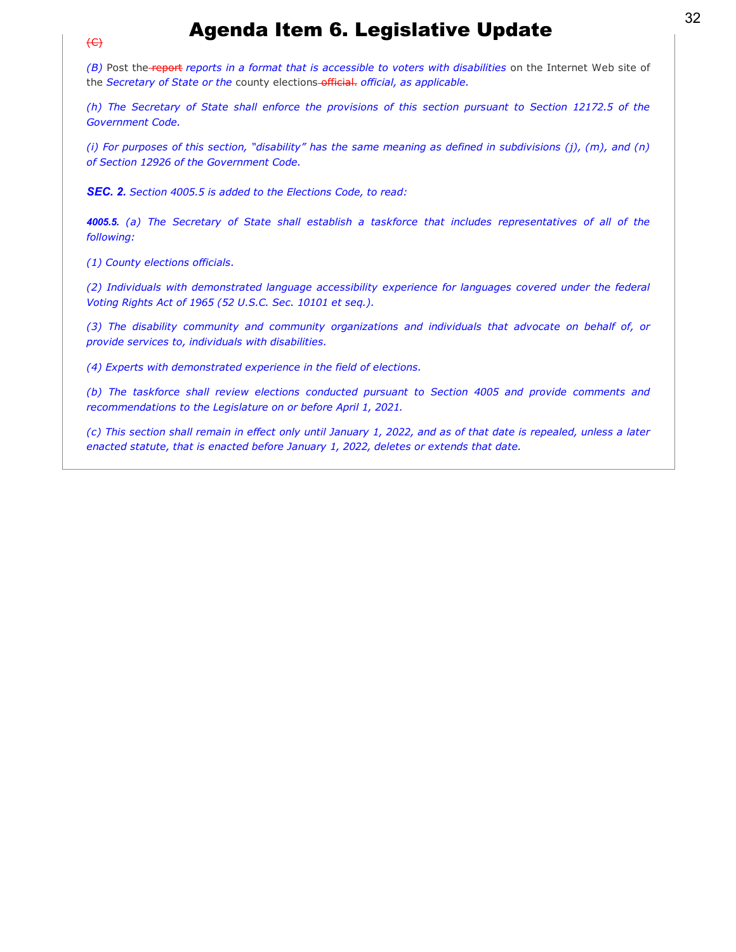*(B)* Post the report *reports in a format that is accessible to voters with disabilities* on the Internet Web site of the *Secretary of State or the* county elections official. *official, as applicable.*

*(h) The Secretary of State shall enforce the provisions of this section pursuant to Section 12172.5 of the Government Code.*

*(i) For purposes of this section, "disability" has the same meaning as defined in subdivisions (j), (m), and (n) of Section 12926 of the Government Code.*

*SEC. 2. Section 4005.5 is added to the Elections Code, to read:*

*4005.5. (a) The Secretary of State shall establish a taskforce that includes representatives of all of the following:*

*(1) County elections officials.*

 $\left(\leftarrow$ 

*(2) Individuals with demonstrated language accessibility experience for languages covered under the federal Voting Rights Act of 1965 (52 U.S.C. Sec. 10101 et seq.).*

*(3) The disability community and community organizations and individuals that advocate on behalf of, or provide services to, individuals with disabilities.*

*(4) Experts with demonstrated experience in the field of elections.*

*(b) The taskforce shall review elections conducted pursuant to Section 4005 and provide comments and recommendations to the Legislature on or before April 1, 2021.*

*(c) This section shall remain in effect only until January 1, 2022, and as of that date is repealed, unless a later enacted statute, that is enacted before January 1, 2022, deletes or extends that date.*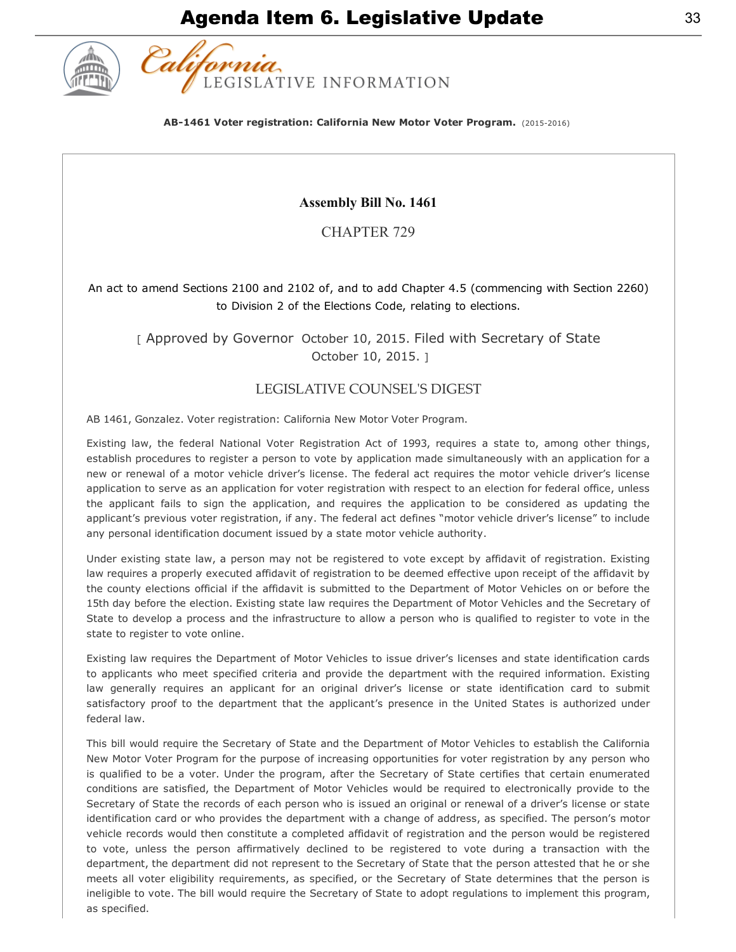

AB-1461 Voter registration: California New Motor Voter Program. (2015-2016)

### Assembly Bill No. 1461

CHAPTER 729

### An act to amend Sections 2100 and 2102 of, and to add Chapter 4.5 (commencing with Section 2260) to Division 2 of the Elections Code, relating to elections.

[ Approved by Governor October 10, 2015. Filed with Secretary of State October 10, 2015. ]

### LEGISLATIVE COUNSELʹS DIGEST

AB 1461, Gonzalez. Voter registration: California New Motor Voter Program.

Existing law, the federal National Voter Registration Act of 1993, requires a state to, among other things, establish procedures to register a person to vote by application made simultaneously with an application for a new or renewal of a motor vehicle driver's license. The federal act requires the motor vehicle driver's license application to serve as an application for voter registration with respect to an election for federal office, unless the applicant fails to sign the application, and requires the application to be considered as updating the applicant's previous voter registration, if any. The federal act defines "motor vehicle driver's license" to include any personal identification document issued by a state motor vehicle authority.

Under existing state law, a person may not be registered to vote except by affidavit of registration. Existing law requires a properly executed affidavit of registration to be deemed effective upon receipt of the affidavit by the county elections official if the affidavit is submitted to the Department of Motor Vehicles on or before the 15th day before the election. Existing state law requires the Department of Motor Vehicles and the Secretary of State to develop a process and the infrastructure to allow a person who is qualified to register to vote in the state to register to vote online.

Existing law requires the Department of Motor Vehicles to issue driver's licenses and state identification cards to applicants who meet specified criteria and provide the department with the required information. Existing law generally requires an applicant for an original driver's license or state identification card to submit satisfactory proof to the department that the applicant's presence in the United States is authorized under federal law.

This bill would require the Secretary of State and the Department of Motor Vehicles to establish the California New Motor Voter Program for the purpose of increasing opportunities for voter registration by any person who is qualified to be a voter. Under the program, after the Secretary of State certifies that certain enumerated conditions are satisfied, the Department of Motor Vehicles would be required to electronically provide to the Secretary of State the records of each person who is issued an original or renewal of a driver's license or state identification card or who provides the department with a change of address, as specified. The person's motor vehicle records would then constitute a completed affidavit of registration and the person would be registered to vote, unless the person affirmatively declined to be registered to vote during a transaction with the department, the department did not represent to the Secretary of State that the person attested that he or she meets all voter eligibility requirements, as specified, or the Secretary of State determines that the person is ineligible to vote. The bill would require the Secretary of State to adopt regulations to implement this program, as specified.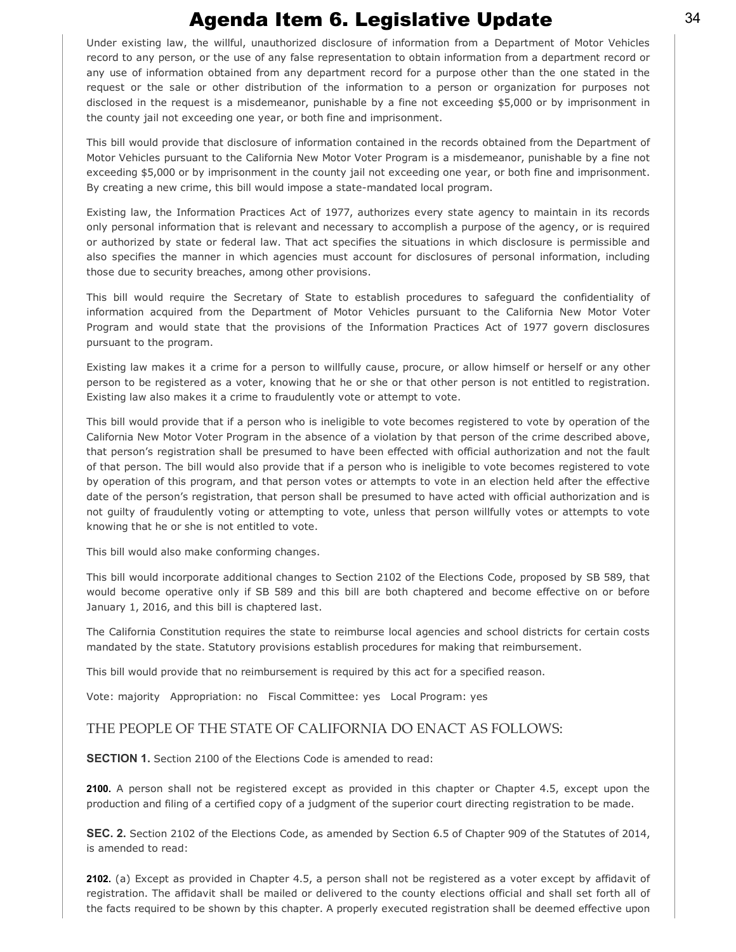Under existing law, the willful, unauthorized disclosure of information from a Department of Motor Vehicles record to any person, or the use of any false representation to obtain information from a department record or any use of information obtained from any department record for a purpose other than the one stated in the request or the sale or other distribution of the information to a person or organization for purposes not disclosed in the request is a misdemeanor, punishable by a fine not exceeding \$5,000 or by imprisonment in the county jail not exceeding one year, or both fine and imprisonment.

This bill would provide that disclosure of information contained in the records obtained from the Department of Motor Vehicles pursuant to the California New Motor Voter Program is a misdemeanor, punishable by a fine not exceeding \$5,000 or by imprisonment in the county jail not exceeding one year, or both fine and imprisonment. By creating a new crime, this bill would impose a state-mandated local program.

Existing law, the Information Practices Act of 1977, authorizes every state agency to maintain in its records only personal information that is relevant and necessary to accomplish a purpose of the agency, or is required or authorized by state or federal law. That act specifies the situations in which disclosure is permissible and also specifies the manner in which agencies must account for disclosures of personal information, including those due to security breaches, among other provisions.

This bill would require the Secretary of State to establish procedures to safeguard the confidentiality of information acquired from the Department of Motor Vehicles pursuant to the California New Motor Voter Program and would state that the provisions of the Information Practices Act of 1977 govern disclosures pursuant to the program.

Existing law makes it a crime for a person to willfully cause, procure, or allow himself or herself or any other person to be registered as a voter, knowing that he or she or that other person is not entitled to registration. Existing law also makes it a crime to fraudulently vote or attempt to vote.

This bill would provide that if a person who is ineligible to vote becomes registered to vote by operation of the California New Motor Voter Program in the absence of a violation by that person of the crime described above, that person's registration shall be presumed to have been effected with official authorization and not the fault of that person. The bill would also provide that if a person who is ineligible to vote becomes registered to vote by operation of this program, and that person votes or attempts to vote in an election held after the effective date of the person's registration, that person shall be presumed to have acted with official authorization and is not guilty of fraudulently voting or attempting to vote, unless that person willfully votes or attempts to vote knowing that he or she is not entitled to vote.

This bill would also make conforming changes.

This bill would incorporate additional changes to Section 2102 of the Elections Code, proposed by SB 589, that would become operative only if SB 589 and this bill are both chaptered and become effective on or before January 1, 2016, and this bill is chaptered last.

The California Constitution requires the state to reimburse local agencies and school districts for certain costs mandated by the state. Statutory provisions establish procedures for making that reimbursement.

This bill would provide that no reimbursement is required by this act for a specified reason.

Vote: majority Appropriation: no Fiscal Committee: yes Local Program: yes

### THE PEOPLE OF THE STATE OF CALIFORNIA DO ENACT AS FOLLOWS:

SECTION 1. Section 2100 of the Elections Code is amended to read:

2100. A person shall not be registered except as provided in this chapter or Chapter 4.5, except upon the production and filing of a certified copy of a judgment of the superior court directing registration to be made.

SEC. 2. Section 2102 of the Elections Code, as amended by Section 6.5 of Chapter 909 of the Statutes of 2014, is amended to read:

2102. (a) Except as provided in Chapter 4.5, a person shall not be registered as a voter except by affidavit of registration. The affidavit shall be mailed or delivered to the county elections official and shall set forth all of the facts required to be shown by this chapter. A properly executed registration shall be deemed effective upon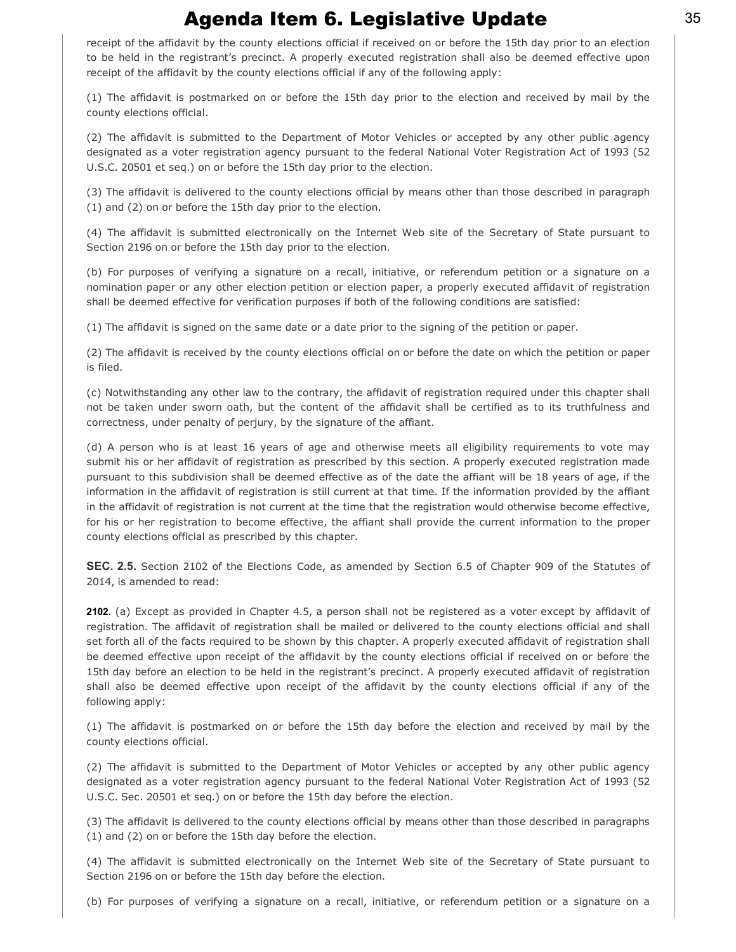receipt of the affidavit by the county elections official if received on or before the 15th day prior to an election to be held in the registrant's precinct. A properly executed registration shall also be deemed effective upon receipt of the affidavit by the county elections official if any of the following apply:

(1) The affidavit is postmarked on or before the 15th day prior to the election and received by mail by the county elections official.

(2) The affidavit is submitted to the Department of Motor Vehicles or accepted by any other public agency designated as a voter registration agency pursuant to the federal National Voter Registration Act of 1993 (52 U.S.C. 20501 et seq.) on or before the 15th day prior to the election.

(3) The affidavit is delivered to the county elections official by means other than those described in paragraph (1) and (2) on or before the 15th day prior to the election.

(4) The affidavit is submitted electronically on the Internet Web site of the Secretary of State pursuant to Section 2196 on or before the 15th day prior to the election.

(b) For purposes of verifying a signature on a recall, initiative, or referendum petition or a signature on a nomination paper or any other election petition or election paper, a properly executed affidavit of registration shall be deemed effective for verification purposes if both of the following conditions are satisfied:

(1) The affidavit is signed on the same date or a date prior to the signing of the petition or paper.

(2) The affidavit is received by the county elections official on or before the date on which the petition or paper is filed.

(c) Notwithstanding any other law to the contrary, the affidavit of registration required under this chapter shall not be taken under sworn oath, but the content of the affidavit shall be certified as to its truthfulness and correctness, under penalty of perjury, by the signature of the affiant.

(d) A person who is at least 16 years of age and otherwise meets all eligibility requirements to vote may submit his or her affidavit of registration as prescribed by this section. A properly executed registration made pursuant to this subdivision shall be deemed effective as of the date the affiant will be 18 years of age, if the information in the affidavit of registration is still current at that time. If the information provided by the affiant in the affidavit of registration is not current at the time that the registration would otherwise become effective, for his or her registration to become effective, the affiant shall provide the current information to the proper county elections official as prescribed by this chapter.

SEC. 2.5. Section 2102 of the Elections Code, as amended by Section 6.5 of Chapter 909 of the Statutes of 2014, is amended to read:

2102. (a) Except as provided in Chapter 4.5, a person shall not be registered as a voter except by affidavit of registration. The affidavit of registration shall be mailed or delivered to the county elections official and shall set forth all of the facts required to be shown by this chapter. A properly executed affidavit of registration shall be deemed effective upon receipt of the affidavit by the county elections official if received on or before the 15th day before an election to be held in the registrant's precinct. A properly executed affidavit of registration shall also be deemed effective upon receipt of the affidavit by the county elections official if any of the following apply:

(1) The affidavit is postmarked on or before the 15th day before the election and received by mail by the county elections official.

(2) The affidavit is submitted to the Department of Motor Vehicles or accepted by any other public agency designated as a voter registration agency pursuant to the federal National Voter Registration Act of 1993 (52 U.S.C. Sec. 20501 et seq.) on or before the 15th day before the election.

(3) The affidavit is delivered to the county elections official by means other than those described in paragraphs (1) and (2) on or before the 15th day before the election.

(4) The affidavit is submitted electronically on the Internet Web site of the Secretary of State pursuant to Section 2196 on or before the 15th day before the election.

(b) For purposes of verifying a signature on a recall, initiative, or referendum petition or a signature on a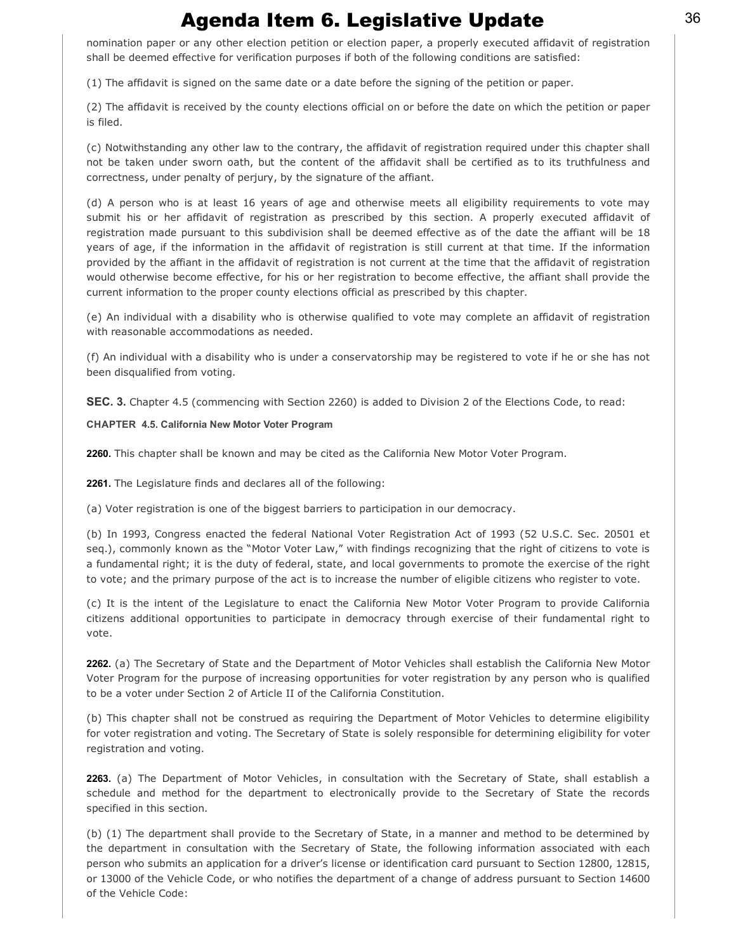nomination paper or any other election petition or election paper, a properly executed affidavit of registration shall be deemed effective for verification purposes if both of the following conditions are satisfied:

(1) The affidavit is signed on the same date or a date before the signing of the petition or paper.

(2) The affidavit is received by the county elections official on or before the date on which the petition or paper is filed.

(c) Notwithstanding any other law to the contrary, the affidavit of registration required under this chapter shall not be taken under sworn oath, but the content of the affidavit shall be certified as to its truthfulness and correctness, under penalty of perjury, by the signature of the affiant.

(d) A person who is at least 16 years of age and otherwise meets all eligibility requirements to vote may submit his or her affidavit of registration as prescribed by this section. A properly executed affidavit of registration made pursuant to this subdivision shall be deemed effective as of the date the affiant will be 18 years of age, if the information in the affidavit of registration is still current at that time. If the information provided by the affiant in the affidavit of registration is not current at the time that the affidavit of registration would otherwise become effective, for his or her registration to become effective, the affiant shall provide the current information to the proper county elections official as prescribed by this chapter.

(e) An individual with a disability who is otherwise qualified to vote may complete an affidavit of registration with reasonable accommodations as needed.

(f) An individual with a disability who is under a conservatorship may be registered to vote if he or she has not been disqualified from voting.

SEC. 3. Chapter 4.5 (commencing with Section 2260) is added to Division 2 of the Elections Code, to read:

#### CHAPTER 4.5. California New Motor Voter Program

2260. This chapter shall be known and may be cited as the California New Motor Voter Program.

2261. The Legislature finds and declares all of the following:

(a) Voter registration is one of the biggest barriers to participation in our democracy.

(b) In 1993, Congress enacted the federal National Voter Registration Act of 1993 (52 U.S.C. Sec. 20501 et seq.), commonly known as the "Motor Voter Law," with findings recognizing that the right of citizens to vote is a fundamental right; it is the duty of federal, state, and local governments to promote the exercise of the right to vote; and the primary purpose of the act is to increase the number of eligible citizens who register to vote.

(c) It is the intent of the Legislature to enact the California New Motor Voter Program to provide California citizens additional opportunities to participate in democracy through exercise of their fundamental right to vote.

2262. (a) The Secretary of State and the Department of Motor Vehicles shall establish the California New Motor Voter Program for the purpose of increasing opportunities for voter registration by any person who is qualified to be a voter under Section 2 of Article II of the California Constitution.

(b) This chapter shall not be construed as requiring the Department of Motor Vehicles to determine eligibility for voter registration and voting. The Secretary of State is solely responsible for determining eligibility for voter registration and voting.

2263. (a) The Department of Motor Vehicles, in consultation with the Secretary of State, shall establish a schedule and method for the department to electronically provide to the Secretary of State the records specified in this section.

(b) (1) The department shall provide to the Secretary of State, in a manner and method to be determined by the department in consultation with the Secretary of State, the following information associated with each person who submits an application for a driver's license or identification card pursuant to Section 12800, 12815, or 13000 of the Vehicle Code, or who notifies the department of a change of address pursuant to Section 14600 of the Vehicle Code: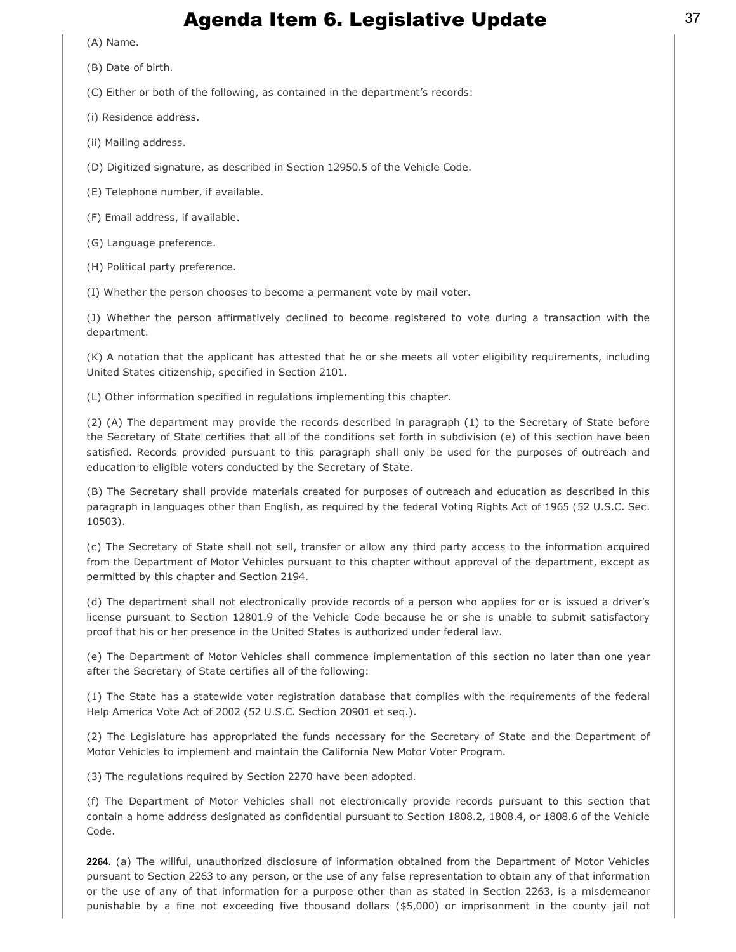(A) Name.

(B) Date of birth.

(C) Either or both of the following, as contained in the department's records:

(i) Residence address.

(ii) Mailing address.

(D) Digitized signature, as described in Section 12950.5 of the Vehicle Code.

(E) Telephone number, if available.

(F) Email address, if available.

(G) Language preference.

(H) Political party preference.

(I) Whether the person chooses to become a permanent vote by mail voter.

(J) Whether the person affirmatively declined to become registered to vote during a transaction with the department.

(K) A notation that the applicant has attested that he or she meets all voter eligibility requirements, including United States citizenship, specified in Section 2101.

(L) Other information specified in regulations implementing this chapter.

(2) (A) The department may provide the records described in paragraph (1) to the Secretary of State before the Secretary of State certifies that all of the conditions set forth in subdivision (e) of this section have been satisfied. Records provided pursuant to this paragraph shall only be used for the purposes of outreach and education to eligible voters conducted by the Secretary of State.

(B) The Secretary shall provide materials created for purposes of outreach and education as described in this paragraph in languages other than English, as required by the federal Voting Rights Act of 1965 (52 U.S.C. Sec. 10503).

(c) The Secretary of State shall not sell, transfer or allow any third party access to the information acquired from the Department of Motor Vehicles pursuant to this chapter without approval of the department, except as permitted by this chapter and Section 2194.

(d) The department shall not electronically provide records of a person who applies for or is issued a driver's license pursuant to Section 12801.9 of the Vehicle Code because he or she is unable to submit satisfactory proof that his or her presence in the United States is authorized under federal law.

(e) The Department of Motor Vehicles shall commence implementation of this section no later than one year after the Secretary of State certifies all of the following:

(1) The State has a statewide voter registration database that complies with the requirements of the federal Help America Vote Act of 2002 (52 U.S.C. Section 20901 et seq.).

(2) The Legislature has appropriated the funds necessary for the Secretary of State and the Department of Motor Vehicles to implement and maintain the California New Motor Voter Program.

(3) The regulations required by Section 2270 have been adopted.

(f) The Department of Motor Vehicles shall not electronically provide records pursuant to this section that contain a home address designated as confidential pursuant to Section 1808.2, 1808.4, or 1808.6 of the Vehicle Code.

2264. (a) The willful, unauthorized disclosure of information obtained from the Department of Motor Vehicles pursuant to Section 2263 to any person, or the use of any false representation to obtain any of that information or the use of any of that information for a purpose other than as stated in Section 2263, is a misdemeanor punishable by a fine not exceeding five thousand dollars (\$5,000) or imprisonment in the county jail not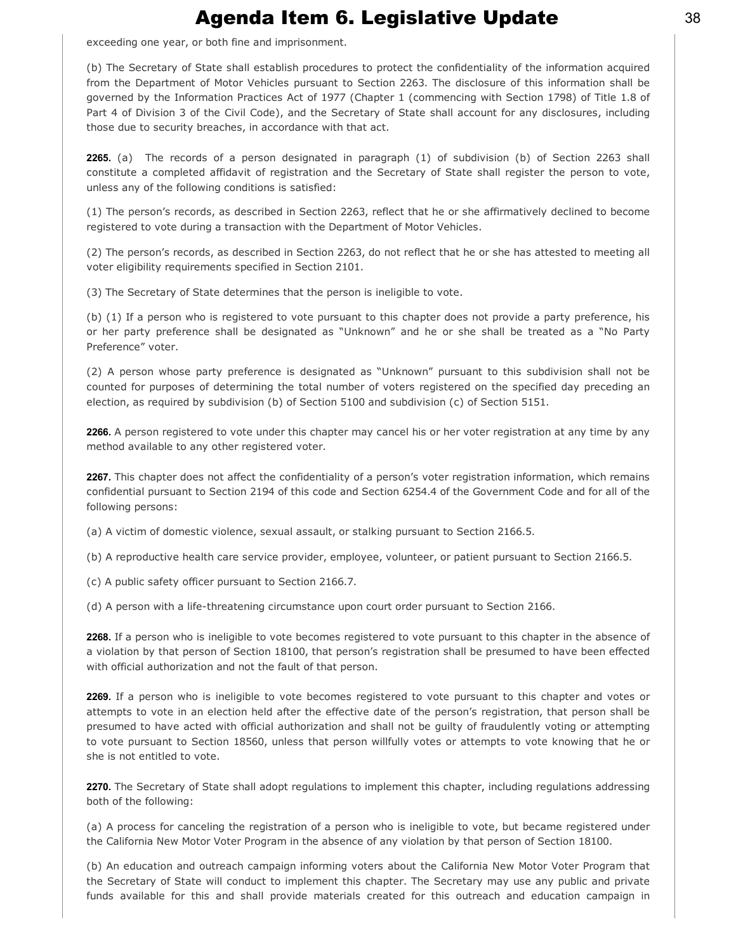exceeding one year, or both fine and imprisonment.

(b) The Secretary of State shall establish procedures to protect the confidentiality of the information acquired from the Department of Motor Vehicles pursuant to Section 2263. The disclosure of this information shall be governed by the Information Practices Act of 1977 (Chapter 1 (commencing with Section 1798) of Title 1.8 of Part 4 of Division 3 of the Civil Code), and the Secretary of State shall account for any disclosures, including those due to security breaches, in accordance with that act.

2265. (a) The records of a person designated in paragraph (1) of subdivision (b) of Section 2263 shall constitute a completed affidavit of registration and the Secretary of State shall register the person to vote, unless any of the following conditions is satisfied:

(1) The person's records, as described in Section 2263, reflect that he or she affirmatively declined to become registered to vote during a transaction with the Department of Motor Vehicles.

(2) The person's records, as described in Section 2263, do not reflect that he or she has attested to meeting all voter eligibility requirements specified in Section 2101.

(3) The Secretary of State determines that the person is ineligible to vote.

(b) (1) If a person who is registered to vote pursuant to this chapter does not provide a party preference, his or her party preference shall be designated as "Unknown" and he or she shall be treated as a "No Party Preference" voter.

(2) A person whose party preference is designated as "Unknown" pursuant to this subdivision shall not be counted for purposes of determining the total number of voters registered on the specified day preceding an election, as required by subdivision (b) of Section 5100 and subdivision (c) of Section 5151.

2266. A person registered to vote under this chapter may cancel his or her voter registration at any time by any method available to any other registered voter.

2267. This chapter does not affect the confidentiality of a person's voter registration information, which remains confidential pursuant to Section 2194 of this code and Section 6254.4 of the Government Code and for all of the following persons:

(a) A victim of domestic violence, sexual assault, or stalking pursuant to Section 2166.5.

(b) A reproductive health care service provider, employee, volunteer, or patient pursuant to Section 2166.5.

(c) A public safety officer pursuant to Section 2166.7.

(d) A person with a life-threatening circumstance upon court order pursuant to Section 2166.

2268. If a person who is ineligible to vote becomes registered to vote pursuant to this chapter in the absence of a violation by that person of Section 18100, that person's registration shall be presumed to have been effected with official authorization and not the fault of that person.

2269. If a person who is ineligible to vote becomes registered to vote pursuant to this chapter and votes or attempts to vote in an election held after the effective date of the person's registration, that person shall be presumed to have acted with official authorization and shall not be guilty of fraudulently voting or attempting to vote pursuant to Section 18560, unless that person willfully votes or attempts to vote knowing that he or she is not entitled to vote.

2270. The Secretary of State shall adopt regulations to implement this chapter, including regulations addressing both of the following:

(a) A process for canceling the registration of a person who is ineligible to vote, but became registered under the California New Motor Voter Program in the absence of any violation by that person of Section 18100.

(b) An education and outreach campaign informing voters about the California New Motor Voter Program that the Secretary of State will conduct to implement this chapter. The Secretary may use any public and private funds available for this and shall provide materials created for this outreach and education campaign in